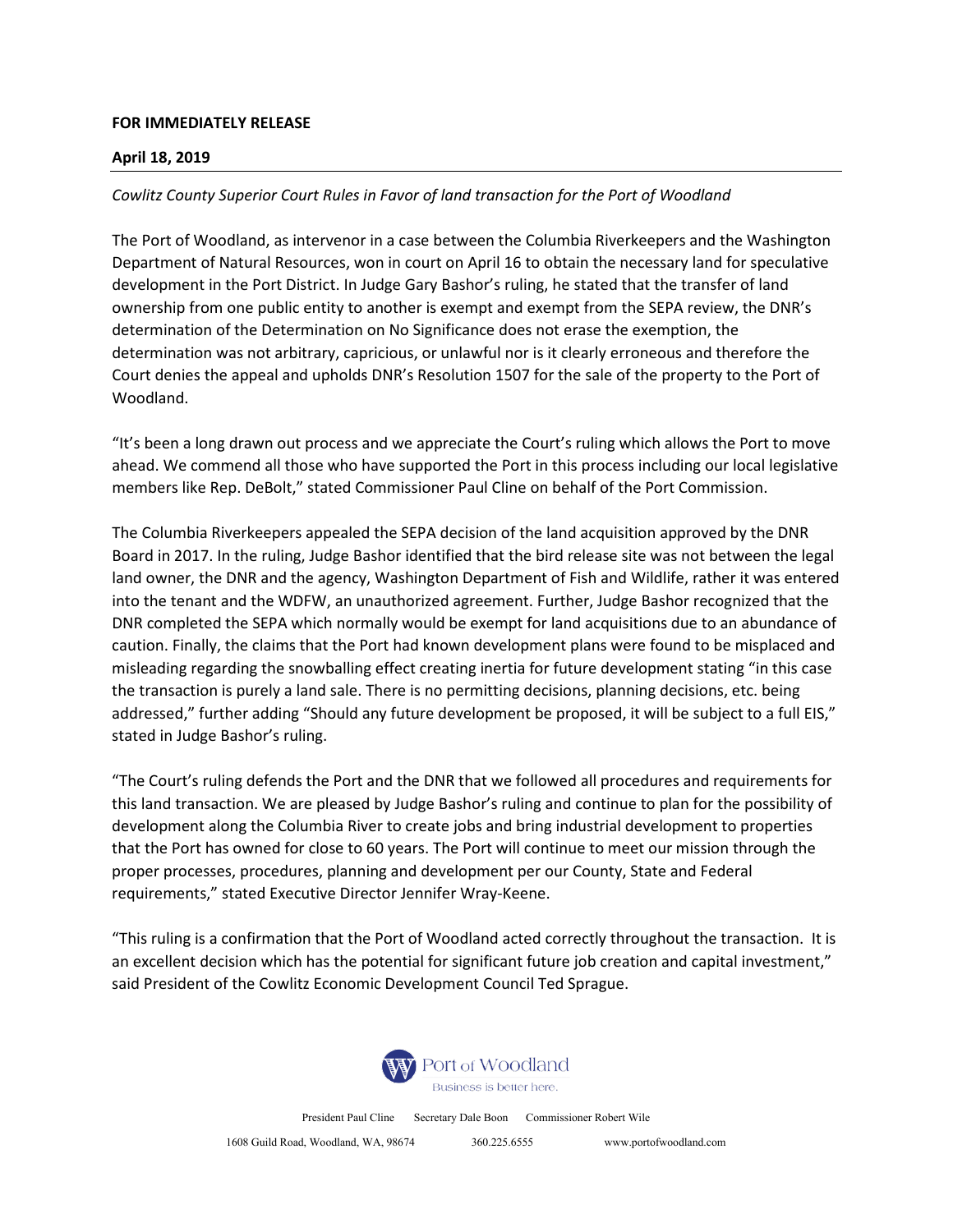## **FOR IMMEDIATELY RELEASE**

## **April 18, 2019**

## *Cowlitz County Superior Court Rules in Favor of land transaction for the Port of Woodland*

The Port of Woodland, as intervenor in a case between the Columbia Riverkeepers and the Washington Department of Natural Resources, won in court on April 16 to obtain the necessary land for speculative development in the Port District. In Judge Gary Bashor's ruling, he stated that the transfer of land ownership from one public entity to another is exempt and exempt from the SEPA review, the DNR's determination of the Determination on No Significance does not erase the exemption, the determination was not arbitrary, capricious, or unlawful nor is it clearly erroneous and therefore the Court denies the appeal and upholds DNR's Resolution 1507 for the sale of the property to the Port of Woodland.

"It's been a long drawn out process and we appreciate the Court's ruling which allows the Port to move ahead. We commend all those who have supported the Port in this process including our local legislative members like Rep. DeBolt," stated Commissioner Paul Cline on behalf of the Port Commission.

The Columbia Riverkeepers appealed the SEPA decision of the land acquisition approved by the DNR Board in 2017. In the ruling, Judge Bashor identified that the bird release site was not between the legal land owner, the DNR and the agency, Washington Department of Fish and Wildlife, rather it was entered into the tenant and the WDFW, an unauthorized agreement. Further, Judge Bashor recognized that the DNR completed the SEPA which normally would be exempt for land acquisitions due to an abundance of caution. Finally, the claims that the Port had known development plans were found to be misplaced and misleading regarding the snowballing effect creating inertia for future development stating "in this case the transaction is purely a land sale. There is no permitting decisions, planning decisions, etc. being addressed," further adding "Should any future development be proposed, it will be subject to a full EIS," stated in Judge Bashor's ruling.

"The Court's ruling defends the Port and the DNR that we followed all procedures and requirements for this land transaction. We are pleased by Judge Bashor's ruling and continue to plan for the possibility of development along the Columbia River to create jobs and bring industrial development to properties that the Port has owned for close to 60 years. The Port will continue to meet our mission through the proper processes, procedures, planning and development per our County, State and Federal requirements," stated Executive Director Jennifer Wray-Keene.

"This ruling is a confirmation that the Port of Woodland acted correctly throughout the transaction. It is an excellent decision which has the potential for significant future job creation and capital investment," said President of the Cowlitz Economic Development Council Ted Sprague.



President Paul Cline Secretary Dale Boon Commissioner Robert Wile

1608 Guild Road, Woodland, WA, 98674 360.225.6555 www.portofwoodland.com